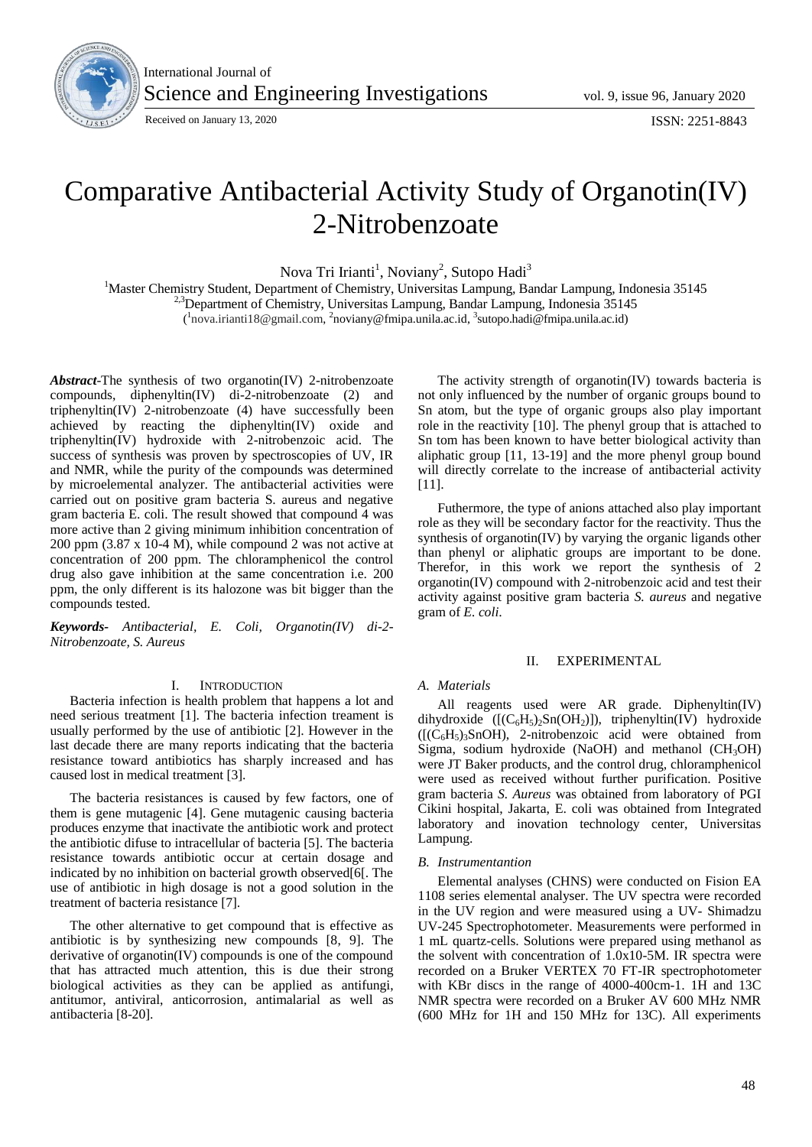

International Journal of Science and Engineering Investigations vol. 9, issue 96, January 2020

Received on January 13, 2020 **ISSN: 2251-8843** 

# Comparative Antibacterial Activity Study of Organotin(IV) 2-Nitrobenzoate

Nova Tri Irianti<sup>1</sup>, Noviany<sup>2</sup>, Sutopo Hadi<sup>3</sup>

<sup>1</sup>Master Chemistry Student, Department of Chemistry, Universitas Lampung, Bandar Lampung, Indonesia 35145  $^{2,3}$ Department of Chemistry, Universitas Lampung, Bandar Lampung, Indonesia 35145

(<sup>1</sup>nova.irianti18@gmail.com, <sup>2</sup>noviany@fmipa.unila.ac.id, <sup>3</sup>sutopo.hadi@fmipa.unila.ac.id)

*Abstract*-The synthesis of two organotin(IV) 2-nitrobenzoate compounds, diphenyltin(IV) di-2-nitrobenzoate (2) and triphenyltin(IV) 2-nitrobenzoate (4) have successfully been achieved by reacting the diphenyltin(IV) oxide and triphenyltin(IV) hydroxide with 2-nitrobenzoic acid. The success of synthesis was proven by spectroscopies of UV, IR and NMR, while the purity of the compounds was determined by microelemental analyzer. The antibacterial activities were carried out on positive gram bacteria S. aureus and negative gram bacteria E. coli. The result showed that compound 4 was more active than 2 giving minimum inhibition concentration of 200 ppm (3.87 x 10-4 M), while compound 2 was not active at concentration of 200 ppm. The chloramphenicol the control drug also gave inhibition at the same concentration i.e. 200 ppm, the only different is its halozone was bit bigger than the compounds tested.

*Keywords- Antibacterial, E. Coli, Organotin(IV) di-2- Nitrobenzoate, S. Aureus*

# I. INTRODUCTION

Bacteria infection is health problem that happens a lot and need serious treatment [1]. The bacteria infection treament is usually performed by the use of antibiotic [2]. However in the last decade there are many reports indicating that the bacteria resistance toward antibiotics has sharply increased and has caused lost in medical treatment [3].

The bacteria resistances is caused by few factors, one of them is gene mutagenic [4]. Gene mutagenic causing bacteria produces enzyme that inactivate the antibiotic work and protect the antibiotic difuse to intracellular of bacteria [5]. The bacteria resistance towards antibiotic occur at certain dosage and indicated by no inhibition on bacterial growth observed[6[. The use of antibiotic in high dosage is not a good solution in the treatment of bacteria resistance [7].

The other alternative to get compound that is effective as antibiotic is by synthesizing new compounds [8, 9]. The derivative of organotin(IV) compounds is one of the compound that has attracted much attention, this is due their strong biological activities as they can be applied as antifungi, antitumor, antiviral, anticorrosion, antimalarial as well as antibacteria [8-20].

The activity strength of organotin(IV) towards bacteria is not only influenced by the number of organic groups bound to Sn atom, but the type of organic groups also play important role in the reactivity [10]. The phenyl group that is attached to Sn tom has been known to have better biological activity than aliphatic group [11, 13-19] and the more phenyl group bound will directly correlate to the increase of antibacterial activity [11].

Futhermore, the type of anions attached also play important role as they will be secondary factor for the reactivity. Thus the synthesis of organotin(IV) by varying the organic ligands other than phenyl or aliphatic groups are important to be done. Therefor, in this work we report the synthesis of 2 organotin(IV) compound with 2-nitrobenzoic acid and test their activity against positive gram bacteria *S. aureus* and negative gram of *E. coli*.

## II. EXPERIMENTAL

# *A. Materials*

All reagents used were AR grade. Diphenyltin(IV) dihydroxide  $([(C_6H_5)_2Sn(OH_2)])$ , triphenyltin(IV) hydroxide  $([(C_6H_5)_3SnOH)$ , 2-nitrobenzoic acid were obtained from Sigma, sodium hydroxide (NaOH) and methanol  $(CH_3OH)$ were JT Baker products, and the control drug, chloramphenicol were used as received without further purification. Positive gram bacteria *S. Aureus* was obtained from laboratory of PGI Cikini hospital, Jakarta, E. coli was obtained from Integrated laboratory and inovation technology center, Universitas Lampung.

#### *B. Instrumentantion*

Elemental analyses (CHNS) were conducted on Fision EA 1108 series elemental analyser. The UV spectra were recorded in the UV region and were measured using a UV- Shimadzu UV-245 Spectrophotometer. Measurements were performed in 1 mL quartz-cells. Solutions were prepared using methanol as the solvent with concentration of 1.0x10-5M. IR spectra were recorded on a Bruker VERTEX 70 FT-IR spectrophotometer with KBr discs in the range of 4000-400cm-1. 1H and 13C NMR spectra were recorded on a Bruker AV 600 MHz NMR (600 MHz for 1H and 150 MHz for 13C). All experiments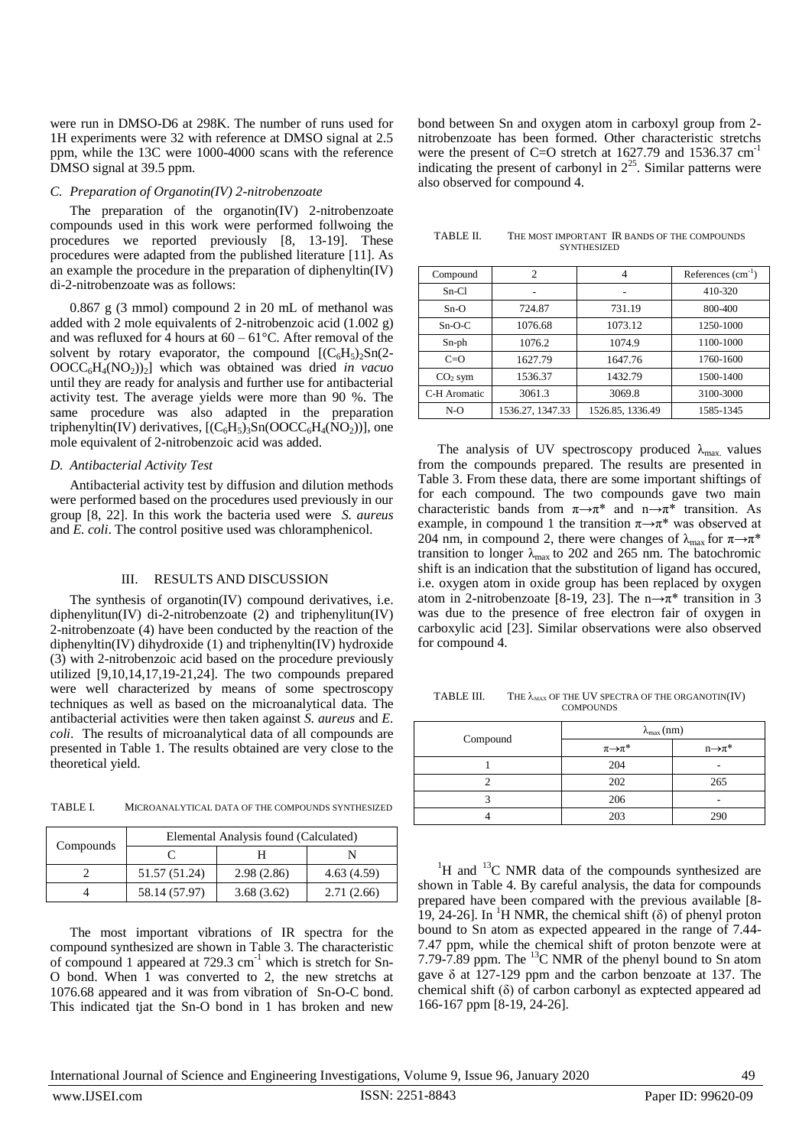were run in DMSO-D6 at 298K. The number of runs used for 1H experiments were 32 with reference at DMSO signal at 2.5 ppm, while the 13C were 1000-4000 scans with the reference DMSO signal at 39.5 ppm.

## *C. Preparation of Organotin(IV) 2-nitrobenzoate*

The preparation of the organotin(IV) 2-nitrobenzoate compounds used in this work were performed follwoing the procedures we reported previously [8, 13-19]. These procedures were adapted from the published literature [11]. As an example the procedure in the preparation of diphenyltin(IV) di-2-nitrobenzoate was as follows:

0.867 g (3 mmol) compound 2 in 20 mL of methanol was added with 2 mole equivalents of 2-nitrobenzoic acid (1.002 g) and was refluxed for 4 hours at  $60 - 61^{\circ}$ C. After removal of the solvent by rotary evaporator, the compound  $[(C_6H_5)_2Sn(2-$ OOCC6H4(NO2))2] which was obtained was dried *in vacuo* until they are ready for analysis and further use for antibacterial activity test. The average yields were more than 90 %. The same procedure was also adapted in the preparation triphenyltin(IV) derivatives,  $[(C_6H_5)_3Sn(OOCC_6H_4(NO_2))]$ , one mole equivalent of 2-nitrobenzoic acid was added.

#### *D. Antibacterial Activity Test*

Antibacterial activity test by diffusion and dilution methods were performed based on the procedures used previously in our group [8, 22]. In this work the bacteria used were *S. aureus*  and *E. coli*. The control positive used was chloramphenicol.

## III. RESULTS AND DISCUSSION

The synthesis of organotin(IV) compound derivatives, i.e. diphenylitun(IV) di-2-nitrobenzoate (2) and triphenylitun(IV) 2-nitrobenzoate (4) have been conducted by the reaction of the diphenyltin(IV) dihydroxide (1) and triphenyltin(IV) hydroxide (3) with 2-nitrobenzoic acid based on the procedure previously utilized [9,10,14,17,19-21,24]. The two compounds prepared were well characterized by means of some spectroscopy techniques as well as based on the microanalytical data. The antibacterial activities were then taken against *S. aureus* and *E. coli*. The results of microanalytical data of all compounds are presented in Table 1. The results obtained are very close to the theoretical yield.

TABLE I. MICROANALYTICAL DATA OF THE COMPOUNDS SYNTHESIZED

| Compounds | Elemental Analysis found (Calculated) |            |            |
|-----------|---------------------------------------|------------|------------|
|           |                                       |            |            |
|           | 51.57 (51.24)                         | 2.98(2.86) | 4.63(4.59) |
|           | 58.14 (57.97)                         | 3.68(3.62) | 2.71(2.66) |

The most important vibrations of IR spectra for the compound synthesized are shown in Table 3. The characteristic of compound 1 appeared at  $729.3 \text{ cm}^{-1}$  which is stretch for Sn-O bond. When 1 was converted to 2, the new stretchs at 1076.68 appeared and it was from vibration of Sn-O-C bond. This indicated tjat the Sn-O bond in 1 has broken and new

bond between Sn and oxygen atom in carboxyl group from 2 nitrobenzoate has been formed. Other characteristic stretchs were the present of C=O stretch at 1627.79 and 1536.37 cm<sup>-1</sup> indicating the present of carbonyl in  $2^{25}$ . Similar patterns were also observed for compound 4.

TABLE II. THE MOST IMPORTANT IR BANDS OF THE COMPOUNDS **SYNTHESIZED** 

| Compound     | $\overline{c}$   |                  | References $(cm-1)$ |
|--------------|------------------|------------------|---------------------|
| $Sn-Cl$      |                  |                  | 410-320             |
| $Sn-O$       | 724.87           | 731.19           | 800-400             |
| $Sn-O-C$     | 1076.68          | 1073.12          | 1250-1000           |
| Sn-ph        | 1076.2           | 1074.9           | 1100-1000           |
| $C = O$      | 1627.79          | 1647.76          | 1760-1600           |
| $CO2$ sym    | 1536.37          | 1432.79          | 1500-1400           |
| C-H Aromatic | 3061.3           | 3069.8           | 3100-3000           |
| $N-O$        | 1536.27, 1347.33 | 1526.85, 1336.49 | 1585-1345           |

The analysis of UV spectroscopy produced  $\lambda_{\text{max}}$  values from the compounds prepared. The results are presented in Table 3. From these data, there are some important shiftings of for each compound. The two compounds gave two main characteristic bands from  $\pi \rightarrow \pi^*$  and  $n \rightarrow \pi^*$  transition. As example, in compound 1 the transition  $\pi \rightarrow \pi^*$  was observed at 204 nm, in compound 2, there were changes of  $\lambda_{\text{max}}$  for  $\pi \rightarrow \pi^*$ transition to longer  $\lambda_{\text{max}}$  to 202 and 265 nm. The batochromic shift is an indication that the substitution of ligand has occured, i.e. oxygen atom in oxide group has been replaced by oxygen atom in 2-nitrobenzoate [8-19, 23]. The  $n \rightarrow \pi^*$  transition in 3 was due to the presence of free electron fair of oxygen in carboxylic acid [23]. Similar observations were also observed for compound 4.

TABLE III. THE  $\lambda_{\text{max}}$  of the UV spectra of the organotin(IV) **COMPOUNDS** 

|          | $\lambda_{\max}$ (nm) |                      |
|----------|-----------------------|----------------------|
| Compound | $\pi{\to}\pi^*$       | $n\rightarrow \pi^*$ |
|          | 204                   |                      |
|          | 202                   | 265                  |
|          | 206                   |                      |
|          | 203                   | 290                  |

 ${}^{1}$ H and  ${}^{13}$ C NMR data of the compounds synthesized are shown in Table 4. By careful analysis, the data for compounds prepared have been compared with the previous available [8- 19, 24-26]. In <sup>1</sup>H NMR, the chemical shift ( $\delta$ ) of phenyl proton bound to Sn atom as expected appeared in the range of 7.44- 7.47 ppm, while the chemical shift of proton benzote were at 7.79-7.89 ppm. The  $^{13}$ C NMR of the phenyl bound to Sn atom gave δ at 127-129 ppm and the carbon benzoate at 137. The chemical shift (δ) of carbon carbonyl as exptected appeared ad 166-167 ppm [8-19, 24-26].

International Journal of Science and Engineering Investigations, Volume 9, Issue 96, January 2020 49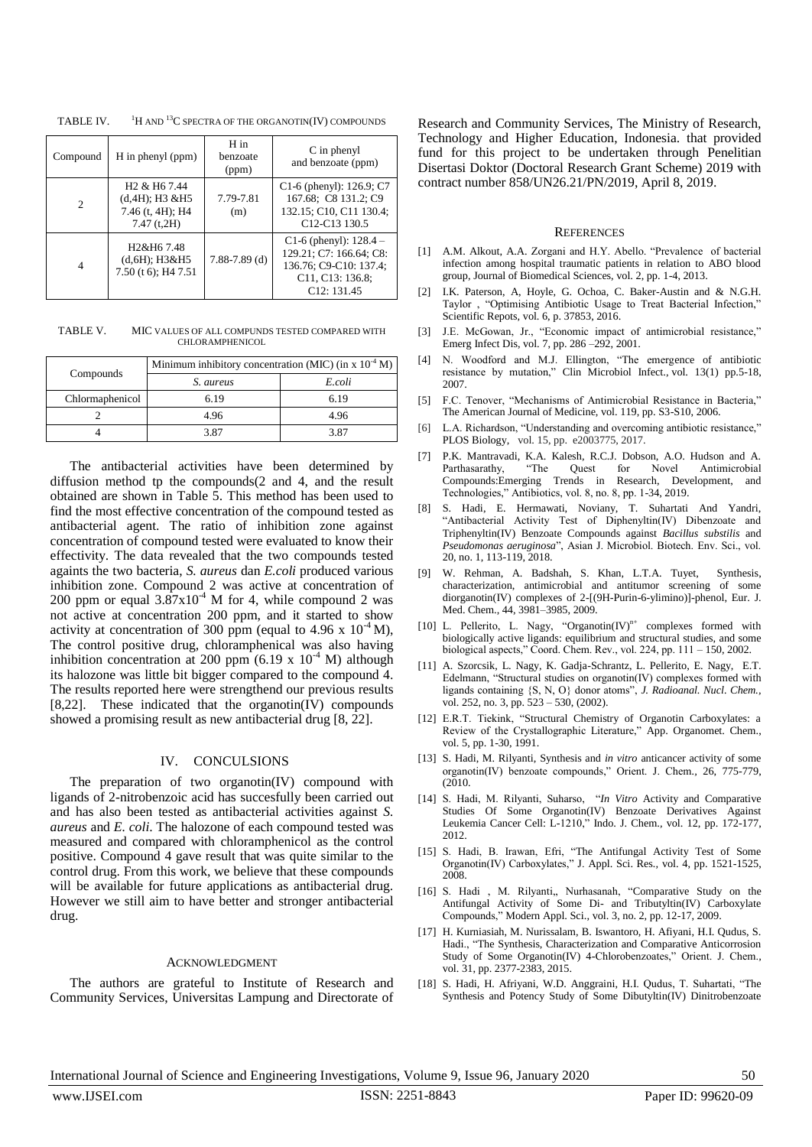Compound H in phenyl (ppm) H in benzoate (ppm) C in phenyl and benzoate (ppm)  $\overline{2}$ H2 & H6 7.44 (d,4H); H3 &H5 7.46 (t, 4H); H4 7.47 (t,2H) 7.79-7.81  $(m)$ C1-6 (phenyl): 126.9; C7 167.68; C8 131.2; C9 132.15; C10, C11 130.4; C12-C13 130.5 4 H2&H6 7.48 (d,6H); H3&H5 7.50 (t 6); H4 7.51 7.88-7.89 (d) C1-6 (phenyl): 128.4 – 129.21; C7: 166.64; C8: 136.76; C9-C10: 137.4; C11, C13: 136.8; C12: 131.45

TABLE IV.  $1\text{H}$  AND <sup>13</sup>C SPECTRA OF THE ORGANOTIN(IV) COMPOUNDS

TABLE V. MIC VALUES OF ALL COMPUNDS TESTED COMPARED WITH CHLOR AMPHENICOL

|                 | Minimum inhibitory concentration (MIC) (in x $10^{-4}$ M) |        |  |
|-----------------|-----------------------------------------------------------|--------|--|
| Compounds       | S. aureus                                                 | E coli |  |
| Chlormaphenicol | 6.19                                                      | 6.19   |  |
|                 | 4.96                                                      | 4.96   |  |
|                 | 3.87                                                      | 3.87   |  |

The antibacterial activities have been determined by diffusion method tp the compounds(2 and 4, and the result obtained are shown in Table 5. This method has been used to find the most effective concentration of the compound tested as antibacterial agent. The ratio of inhibition zone against concentration of compound tested were evaluated to know their effectivity. The data revealed that the two compounds tested againts the two bacteria, *S. aureus* dan *E.coli* produced various inhibition zone. Compound 2 was active at concentration of 200 ppm or equal  $3.87 \times 10^{-4}$  M for 4, while compound 2 was not active at concentration 200 ppm, and it started to show activity at concentration of 300 ppm (equal to 4.96 x  $10^{-4}$  M), The control positive drug, chloramphenical was also having inhibition concentration at 200 ppm (6.19 x  $10^{-4}$  M) although its halozone was little bit bigger compared to the compound 4. The results reported here were strengthend our previous results [8,22]. These indicated that the organotin(IV) compounds showed a promising result as new antibacterial drug [8, 22].

# IV. CONCULSIONS

The preparation of two organotin(IV) compound with ligands of 2-nitrobenzoic acid has succesfully been carried out and has also been tested as antibacterial activities against *S. aureus* and *E. coli*. The halozone of each compound tested was measured and compared with chloramphenicol as the control positive. Compound 4 gave result that was quite similar to the control drug. From this work, we believe that these compounds will be available for future applications as antibacterial drug. However we still aim to have better and stronger antibacterial drug.

## ACKNOWLEDGMENT

The authors are grateful to Institute of Research and Community Services, Universitas Lampung and Directorate of Research and Community Services, The Ministry of Research, Technology and Higher Education, Indonesia. that provided fund for this project to be undertaken through Penelitian Disertasi Doktor (Doctoral Research Grant Scheme) 2019 with contract number 858/UN26.21/PN/2019, April 8, 2019.

#### **REFERENCES**

- [1] A.M. Alkout, A.A. Zorgani and H.Y. Abello. "Prevalence of bacterial infection among hospital traumatic patients in relation to ABO blood group, Journal of Biomedical Sciences, vol. 2, pp. 1-4, 2013.
- [2] I.K. Paterson, A, Hoyle, G. Ochoa, C. Baker-Austin and & N.G.H. Taylor , "Optimising Antibiotic Usage to Treat Bacterial Infection," Scientific Repots, vol. 6, p. 37853, 2016.
- [3] J.E. McGowan, Jr., "Economic impact of antimicrobial resistance," Emerg Infect Dis, vol. 7, pp. 286 –292, 2001.
- [4] N. Woodford and M.J. Ellington, "The emergence of antibiotic resistance by mutation," Clin Microbiol Infect., vol. 13(1) pp.5-18, 2007.
- [5] F.C. Tenover, "Mechanisms of Antimicrobial Resistance in Bacteria," The American Journal of Medicine, vol. 119, pp. S3-S10, 2006.
- [6] L.A. Richardson, "Understanding and overcoming antibiotic resistance," PLOS Biology, vol. 15, pp. e2003775, 2017.
- [7] P.K. Mantravadi, K.A. Kalesh, R.C.J. Dobson, A.O. Hudson and A. Parthasarathy, "The Quest for Novel Antimicrobial Compounds:Emerging Trends in Research, Development, and Technologies," Antibiotics, vol. 8, no. 8, pp. 1-34, 2019.
- [8] S. Hadi, E. Hermawati, Noviany, T. Suhartati And Yandri, "Antibacterial Activity Test of Diphenyltin(IV) Dibenzoate and Triphenyltin(IV) Benzoate Compounds against *Bacillus substilis* and *Pseudomonas aeruginosa*", Asian J. Microbiol. Biotech. Env. Sci., vol. 20, no. 1, 113-119, 2018.
- [9] W. Rehman, A. Badshah, S. Khan, L.T.A. Tuyet, Synthesis, characterization, antimicrobial and antitumor screening of some diorganotin(IV) complexes of 2-[(9H-Purin-6-ylimino)]-phenol, Eur. J. Med. Chem., 44, 3981–3985, 2009.
- [10] L. Pellerito, L. Nagy, "Organotin ${(IV)}^{n+}$  complexes formed with biologically active ligands: equilibrium and structural studies, and some biological aspects," Coord. Chem. Rev., vol. 224, pp. 111 – 150, 2002.
- [11] A. Szorcsik, L. Nagy, K. Gadja-Schrantz, L. Pellerito, E. Nagy, E.T. Edelmann, "Structural studies on organotin(IV) complexes formed with ligands containing {S, N, O} donor atoms", *J. Radioanal. Nucl. Chem.,* vol. 252, no. 3, pp. 523 – 530, (2002).
- [12] E.R.T. Tiekink, "Structural Chemistry of Organotin Carboxylates: a Review of the Crystallographic Literature," App. Organomet. Chem., vol. 5, pp. 1-30, 1991.
- [13] S. Hadi, M. Rilyanti, Synthesis and *in vitro* anticancer activity of some organotin(IV) benzoate compounds," Orient. J. Chem*.,* 26, 775-779, (2010.
- [14] S. Hadi, M. Rilyanti, Suharso, "*In Vitro* Activity and Comparative Studies Of Some Organotin(IV) Benzoate Derivatives Against Leukemia Cancer Cell: L-1210," Indo. J. Chem.*,* vol. 12, pp. 172-177, 2012.
- [15] S. Hadi, B. Irawan, Efri, "The Antifungal Activity Test of Some Organotin(IV) Carboxylates," J. Appl. Sci. Res*.,* vol. 4, pp. 1521-1525, 2008.
- [16] S. Hadi , M. Rilyanti,, Nurhasanah, "Comparative Study on the Antifungal Activity of Some Di- and Tributyltin(IV) Carboxylate Compounds," Modern Appl. Sci.*,* vol. 3, no. 2, pp. 12-17, 2009.
- [17] H. Kurniasiah, M. Nurissalam, B. Iswantoro, H. Afiyani, H.I. Qudus, S. Hadi., "The Synthesis, Characterization and Comparative Anticorrosion Study of Some Organotin(IV) 4-Chlorobenzoates," Orient. J. Chem.*,* vol. 31, pp. 2377-2383, 2015.
- [18] S. Hadi, H. Afriyani, W.D. Anggraini, H.I. Qudus, T. Suhartati, "The Synthesis and Potency Study of Some Dibutyltin(IV) Dinitrobenzoate

International Journal of Science and Engineering Investigations, Volume 9, Issue 96, January 2020 50